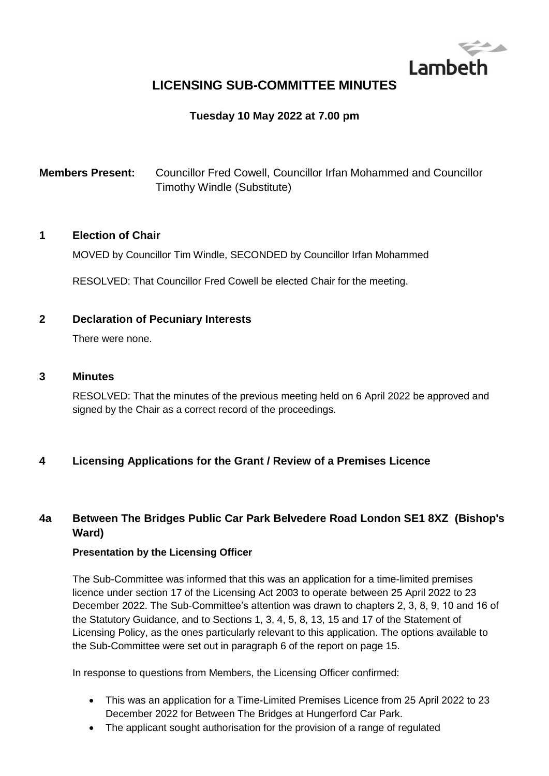

# **LICENSING SUB-COMMITTEE MINUTES**

## **Tuesday 10 May 2022 at 7.00 pm**

**Members Present:** Councillor Fred Cowell, Councillor Irfan Mohammed and Councillor Timothy Windle (Substitute)

#### **1 Election of Chair**

MOVED by Councillor Tim Windle, SECONDED by Councillor Irfan Mohammed

RESOLVED: That Councillor Fred Cowell be elected Chair for the meeting.

#### **2 Declaration of Pecuniary Interests**

There were none.

#### **3 Minutes**

RESOLVED: That the minutes of the previous meeting held on 6 April 2022 be approved and signed by the Chair as a correct record of the proceedings.

#### **4 Licensing Applications for the Grant / Review of a Premises Licence**

## **4a Between The Bridges Public Car Park Belvedere Road London SE1 8XZ (Bishop's Ward)**

#### **Presentation by the Licensing Officer**

The Sub-Committee was informed that this was an application for a time-limited premises licence under section 17 of the Licensing Act 2003 to operate between 25 April 2022 to 23 December 2022. The Sub-Committee's attention was drawn to chapters 2, 3, 8, 9, 10 and 16 of the Statutory Guidance, and to Sections 1, 3, 4, 5, 8, 13, 15 and 17 of the Statement of Licensing Policy, as the ones particularly relevant to this application. The options available to the Sub-Committee were set out in paragraph 6 of the report on page 15.

In response to questions from Members, the Licensing Officer confirmed:

- This was an application for a Time-Limited Premises Licence from 25 April 2022 to 23 December 2022 for Between The Bridges at Hungerford Car Park.
- The applicant sought authorisation for the provision of a range of regulated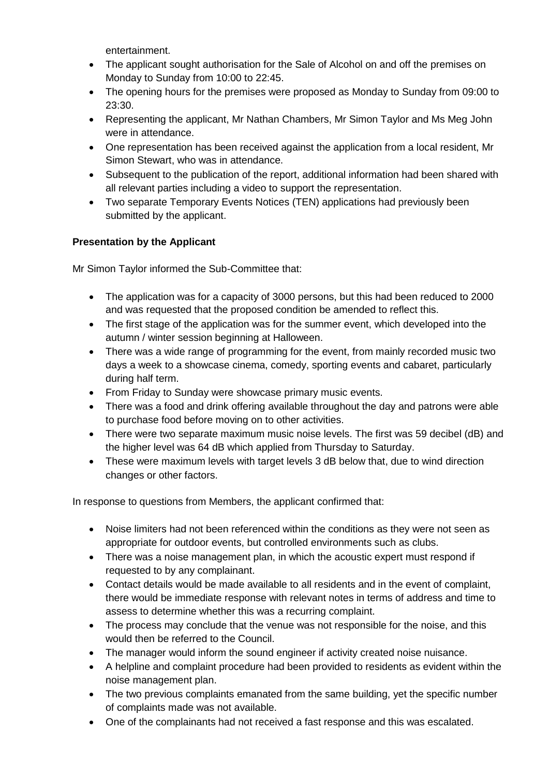entertainment.

- The applicant sought authorisation for the Sale of Alcohol on and off the premises on Monday to Sunday from 10:00 to 22:45.
- The opening hours for the premises were proposed as Monday to Sunday from 09:00 to 23:30.
- Representing the applicant, Mr Nathan Chambers, Mr Simon Taylor and Ms Meg John were in attendance.
- One representation has been received against the application from a local resident, Mr Simon Stewart, who was in attendance.
- Subsequent to the publication of the report, additional information had been shared with all relevant parties including a video to support the representation.
- Two separate Temporary Events Notices (TEN) applications had previously been submitted by the applicant.

## **Presentation by the Applicant**

Mr Simon Taylor informed the Sub-Committee that:

- The application was for a capacity of 3000 persons, but this had been reduced to 2000 and was requested that the proposed condition be amended to reflect this.
- The first stage of the application was for the summer event, which developed into the autumn / winter session beginning at Halloween.
- There was a wide range of programming for the event, from mainly recorded music two days a week to a showcase cinema, comedy, sporting events and cabaret, particularly during half term.
- From Friday to Sunday were showcase primary music events.
- There was a food and drink offering available throughout the day and patrons were able to purchase food before moving on to other activities.
- There were two separate maximum music noise levels. The first was 59 decibel (dB) and the higher level was 64 dB which applied from Thursday to Saturday.
- These were maximum levels with target levels 3 dB below that, due to wind direction changes or other factors.

In response to questions from Members, the applicant confirmed that:

- Noise limiters had not been referenced within the conditions as they were not seen as appropriate for outdoor events, but controlled environments such as clubs.
- There was a noise management plan, in which the acoustic expert must respond if requested to by any complainant.
- Contact details would be made available to all residents and in the event of complaint, there would be immediate response with relevant notes in terms of address and time to assess to determine whether this was a recurring complaint.
- The process may conclude that the venue was not responsible for the noise, and this would then be referred to the Council.
- The manager would inform the sound engineer if activity created noise nuisance.
- A helpline and complaint procedure had been provided to residents as evident within the noise management plan.
- The two previous complaints emanated from the same building, yet the specific number of complaints made was not available.
- One of the complainants had not received a fast response and this was escalated.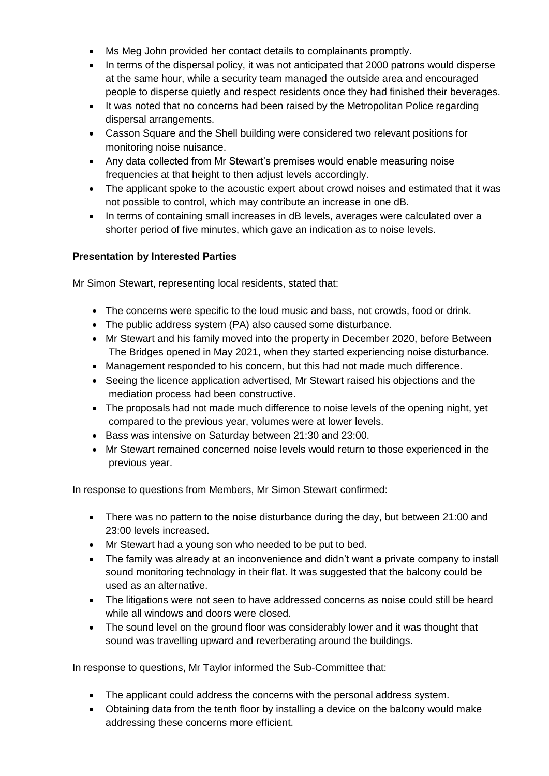- Ms Meg John provided her contact details to complainants promptly.
- In terms of the dispersal policy, it was not anticipated that 2000 patrons would disperse at the same hour, while a security team managed the outside area and encouraged people to disperse quietly and respect residents once they had finished their beverages.
- It was noted that no concerns had been raised by the Metropolitan Police regarding dispersal arrangements.
- Casson Square and the Shell building were considered two relevant positions for monitoring noise nuisance.
- Any data collected from Mr Stewart's premises would enable measuring noise frequencies at that height to then adjust levels accordingly.
- The applicant spoke to the acoustic expert about crowd noises and estimated that it was not possible to control, which may contribute an increase in one dB.
- In terms of containing small increases in dB levels, averages were calculated over a shorter period of five minutes, which gave an indication as to noise levels.

#### **Presentation by Interested Parties**

Mr Simon Stewart, representing local residents, stated that:

- The concerns were specific to the loud music and bass, not crowds, food or drink.
- The public address system (PA) also caused some disturbance.
- Mr Stewart and his family moved into the property in December 2020, before Between The Bridges opened in May 2021, when they started experiencing noise disturbance.
- Management responded to his concern, but this had not made much difference.
- Seeing the licence application advertised, Mr Stewart raised his objections and the mediation process had been constructive.
- The proposals had not made much difference to noise levels of the opening night, yet compared to the previous year, volumes were at lower levels.
- Bass was intensive on Saturday between 21:30 and 23:00.
- Mr Stewart remained concerned noise levels would return to those experienced in the previous year.

In response to questions from Members, Mr Simon Stewart confirmed:

- There was no pattern to the noise disturbance during the day, but between 21:00 and 23:00 levels increased.
- Mr Stewart had a young son who needed to be put to bed.
- The family was already at an inconvenience and didn't want a private company to install sound monitoring technology in their flat. It was suggested that the balcony could be used as an alternative.
- The litigations were not seen to have addressed concerns as noise could still be heard while all windows and doors were closed.
- The sound level on the ground floor was considerably lower and it was thought that sound was travelling upward and reverberating around the buildings.

In response to questions, Mr Taylor informed the Sub-Committee that:

- The applicant could address the concerns with the personal address system.
- Obtaining data from the tenth floor by installing a device on the balcony would make addressing these concerns more efficient.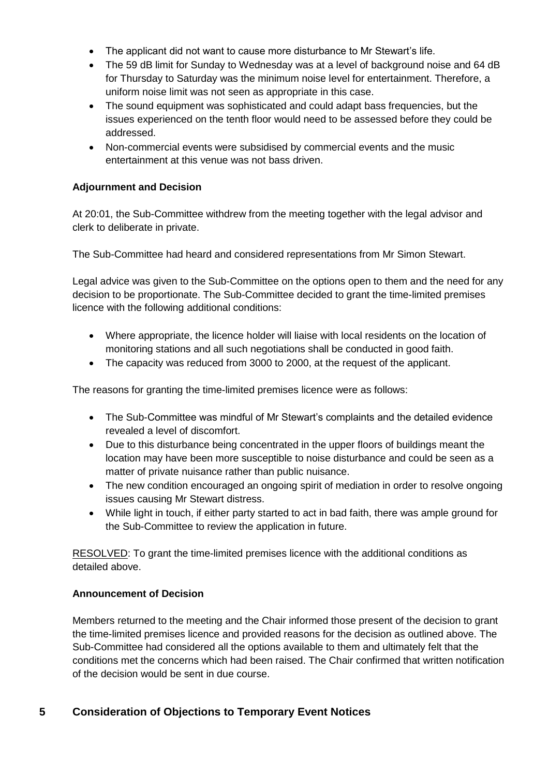- The applicant did not want to cause more disturbance to Mr Stewart's life.
- The 59 dB limit for Sunday to Wednesday was at a level of background noise and 64 dB for Thursday to Saturday was the minimum noise level for entertainment. Therefore, a uniform noise limit was not seen as appropriate in this case.
- The sound equipment was sophisticated and could adapt bass frequencies, but the issues experienced on the tenth floor would need to be assessed before they could be addressed.
- Non-commercial events were subsidised by commercial events and the music entertainment at this venue was not bass driven.

## **Adjournment and Decision**

At 20:01, the Sub-Committee withdrew from the meeting together with the legal advisor and clerk to deliberate in private.

The Sub-Committee had heard and considered representations from Mr Simon Stewart.

Legal advice was given to the Sub-Committee on the options open to them and the need for any decision to be proportionate. The Sub-Committee decided to grant the time-limited premises licence with the following additional conditions:

- Where appropriate, the licence holder will liaise with local residents on the location of monitoring stations and all such negotiations shall be conducted in good faith.
- The capacity was reduced from 3000 to 2000, at the request of the applicant.

The reasons for granting the time-limited premises licence were as follows:

- The Sub-Committee was mindful of Mr Stewart's complaints and the detailed evidence revealed a level of discomfort.
- Due to this disturbance being concentrated in the upper floors of buildings meant the location may have been more susceptible to noise disturbance and could be seen as a matter of private nuisance rather than public nuisance.
- The new condition encouraged an ongoing spirit of mediation in order to resolve ongoing issues causing Mr Stewart distress.
- While light in touch, if either party started to act in bad faith, there was ample ground for the Sub-Committee to review the application in future.

RESOLVED: To grant the time-limited premises licence with the additional conditions as detailed above.

#### **Announcement of Decision**

Members returned to the meeting and the Chair informed those present of the decision to grant the time-limited premises licence and provided reasons for the decision as outlined above. The Sub-Committee had considered all the options available to them and ultimately felt that the conditions met the concerns which had been raised. The Chair confirmed that written notification of the decision would be sent in due course.

## **5 Consideration of Objections to Temporary Event Notices**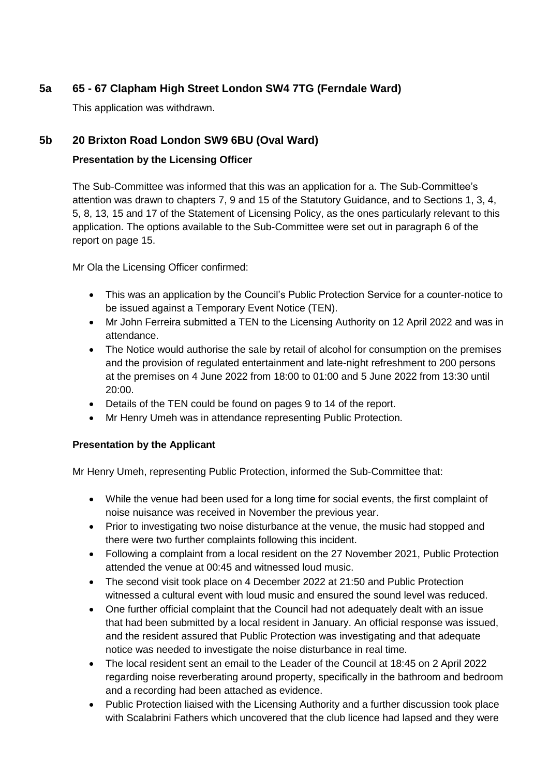## **5a 65 - 67 Clapham High Street London SW4 7TG (Ferndale Ward)**

This application was withdrawn.

## **5b 20 Brixton Road London SW9 6BU (Oval Ward)**

## **Presentation by the Licensing Officer**

The Sub-Committee was informed that this was an application for a. The Sub-Committee's attention was drawn to chapters 7, 9 and 15 of the Statutory Guidance, and to Sections 1, 3, 4, 5, 8, 13, 15 and 17 of the Statement of Licensing Policy, as the ones particularly relevant to this application. The options available to the Sub-Committee were set out in paragraph 6 of the report on page 15.

Mr Ola the Licensing Officer confirmed:

- This was an application by the Council's Public Protection Service for a counter-notice to be issued against a Temporary Event Notice (TEN).
- Mr John Ferreira submitted a TEN to the Licensing Authority on 12 April 2022 and was in attendance.
- The Notice would authorise the sale by retail of alcohol for consumption on the premises and the provision of regulated entertainment and late-night refreshment to 200 persons at the premises on 4 June 2022 from 18:00 to 01:00 and 5 June 2022 from 13:30 until 20:00.
- Details of the TEN could be found on pages 9 to 14 of the report.
- Mr Henry Umeh was in attendance representing Public Protection.

#### **Presentation by the Applicant**

Mr Henry Umeh, representing Public Protection, informed the Sub-Committee that:

- While the venue had been used for a long time for social events, the first complaint of noise nuisance was received in November the previous year.
- Prior to investigating two noise disturbance at the venue, the music had stopped and there were two further complaints following this incident.
- Following a complaint from a local resident on the 27 November 2021, Public Protection attended the venue at 00:45 and witnessed loud music.
- The second visit took place on 4 December 2022 at 21:50 and Public Protection witnessed a cultural event with loud music and ensured the sound level was reduced.
- One further official complaint that the Council had not adequately dealt with an issue that had been submitted by a local resident in January. An official response was issued, and the resident assured that Public Protection was investigating and that adequate notice was needed to investigate the noise disturbance in real time.
- The local resident sent an email to the Leader of the Council at 18:45 on 2 April 2022 regarding noise reverberating around property, specifically in the bathroom and bedroom and a recording had been attached as evidence.
- Public Protection liaised with the Licensing Authority and a further discussion took place with Scalabrini Fathers which uncovered that the club licence had lapsed and they were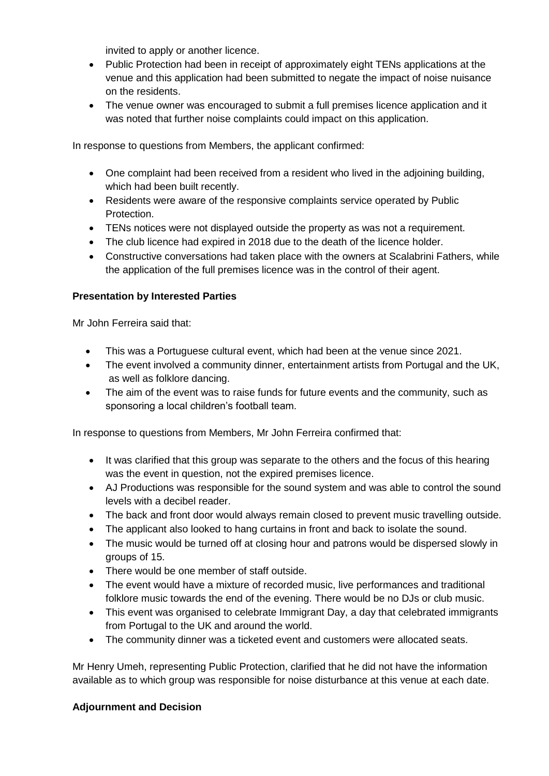invited to apply or another licence.

- Public Protection had been in receipt of approximately eight TENs applications at the venue and this application had been submitted to negate the impact of noise nuisance on the residents.
- The venue owner was encouraged to submit a full premises licence application and it was noted that further noise complaints could impact on this application.

In response to questions from Members, the applicant confirmed:

- One complaint had been received from a resident who lived in the adjoining building, which had been built recently.
- Residents were aware of the responsive complaints service operated by Public Protection.
- TENs notices were not displayed outside the property as was not a requirement.
- The club licence had expired in 2018 due to the death of the licence holder.
- Constructive conversations had taken place with the owners at Scalabrini Fathers, while the application of the full premises licence was in the control of their agent.

#### **Presentation by Interested Parties**

Mr John Ferreira said that:

- This was a Portuguese cultural event, which had been at the venue since 2021.
- The event involved a community dinner, entertainment artists from Portugal and the UK, as well as folklore dancing.
- The aim of the event was to raise funds for future events and the community, such as sponsoring a local children's football team.

In response to questions from Members, Mr John Ferreira confirmed that:

- It was clarified that this group was separate to the others and the focus of this hearing was the event in question, not the expired premises licence.
- AJ Productions was responsible for the sound system and was able to control the sound levels with a decibel reader.
- The back and front door would always remain closed to prevent music travelling outside.
- The applicant also looked to hang curtains in front and back to isolate the sound.
- The music would be turned off at closing hour and patrons would be dispersed slowly in groups of 15.
- There would be one member of staff outside.
- The event would have a mixture of recorded music, live performances and traditional folklore music towards the end of the evening. There would be no DJs or club music.
- This event was organised to celebrate Immigrant Day, a day that celebrated immigrants from Portugal to the UK and around the world.
- The community dinner was a ticketed event and customers were allocated seats.

Mr Henry Umeh, representing Public Protection, clarified that he did not have the information available as to which group was responsible for noise disturbance at this venue at each date.

#### **Adjournment and Decision**